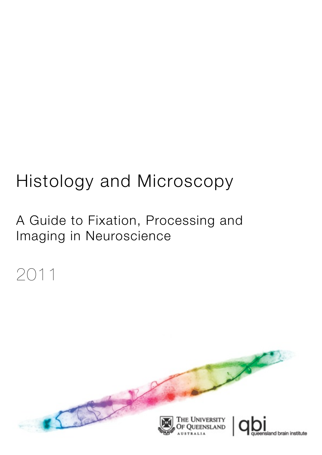# Histology and Microscopy

A Guide to Fixation, Processing and Imaging in Neuroscience

# 2011

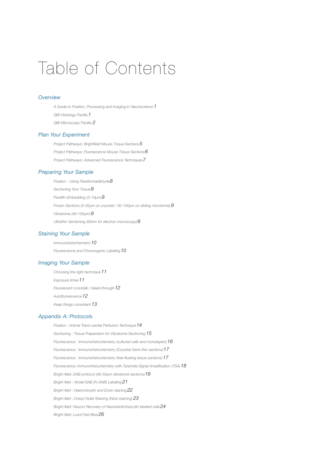# Table of Contents

#### *[Overview](#page-3-0)*

*[A Guide to Fixation, Processing and Imaging in Neuroscience](#page-3-1) 1 [QBI Histology Facility1](#page-3-2) [QBI Microscopy Facility](#page-4-0) 2*

#### *[Plan Your Experiment](#page-5-0)*

*[Project Pathways: Brightfield Mouse Tissue Sections5](#page-7-0) [Project Pathways: Fluorescence Mouse Tissue Sections6](#page-8-0) [Project Pathways: Advanced Fluorescence Techniques7](#page-9-0)*

#### *[Preparing Your Sample](#page-10-0)*

*[Fixation - Using Paraformaldehyde8](#page-10-1) [Sectioning Your Tissue9](#page-11-0) [Paraffin Embedding \(3-10µm\)9](#page-11-1) [Frozen Sections \(5-20µm on cryostat / 30-100µm on sliding microtome\)](#page-11-2) 9 [Vibratome \(40-100µm\)9](#page-11-3) [Ultrathin Sectioning \(60nm for electron microscopy\)9](#page-11-4)*

#### *[Staining Your Sample](#page-12-0)*

*[Immunohistochemistry10](#page-12-1) [Fluorescence and Chromogenic Labeling10](#page-12-2)*

#### *[Imaging Your Sample](#page-13-0)*

*[Choosing the right technique11](#page-13-1) [Exposure times11](#page-13-2) [Fluorescent crosstalk / bleed-through12](#page-14-0) [Autofluorescence12](#page-14-1) [Keep things consistent](#page-15-0) 13*

#### *[Appendix A: Protocols](#page-16-0)*

*[Fixation : Animal Trans-cardial Perfusion Technique14](#page-16-1) [Sectioning : Tissue Preparation for Vibratome Sectioning](#page-17-0) 15 [Fluorescence : Immunohistochemistry \(cultured cells and monolayers\)16](#page-18-0) [Fluorescence : Immunohistochemistry \(Cryostat Semi-thin sections\)17](#page-19-0) [Fluorescence : Immunohistochemistry \(free floating tissue sections\)](#page-19-1) 17 [Fluorescence: Immunohistochemistry with Tyramide Signal Amplification \(TSA\)18](#page-20-0) [Bright field: DAB protocol \(40-50µm vibratome sections\)19](#page-21-0) [Bright field : Nickel DAB \(N-DAB\) Labeling](#page-23-0) 21 [Bright field : Haemotoxylin and Eosin staining22](#page-24-0) [Bright field : Cresyl Violet Staining \(Nissl staining\)](#page-25-0) 23 [Bright field: Neuron Recovery of Neurobiotin/biocytin labeled cells24](#page-26-0) [Bright field: Luxol Fast Blue26](#page-28-0)*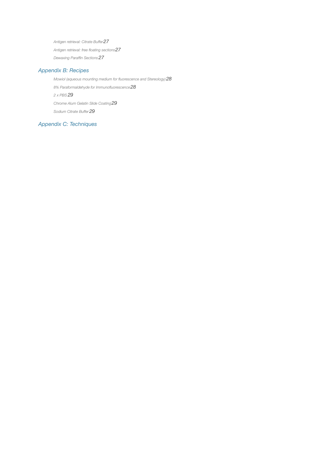*[Antigen retrieval: Citrate Buffer27](#page-29-0) [Antigen retrieval: free floating sections27](#page-29-1) [Dewaxing Paraffin Sections27](#page-29-2)*

### *[Appendix B: Recipes](#page-30-0)*

*[Mowiol \(aqueous mounting medium for fluorescence and Stereology\)28](#page-30-1) [8% Paraformaldehyde for Immunofluorescence28](#page-30-2) [2 x PBS](#page-31-0) 29 [Chrome Alum Gelatin Slide Coating29](#page-31-1) [Sodium Citrate Buffer](#page-31-2) 29*

## *[Appendix C: Techniques](#page-32-0)*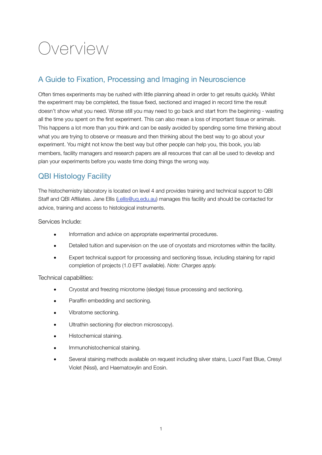# <span id="page-3-0"></span>Overview

## <span id="page-3-1"></span>A Guide to Fixation, Processing and Imaging in Neuroscience

Often times experiments may be rushed with little planning ahead in order to get results quickly. Whilst the experiment may be completed, the tissue fixed, sectioned and imaged in record time the result doesn't show what you need. Worse still you may need to go back and start from the beginning - wasting all the time you spent on the first experiment. This can also mean a loss of important tissue or animals. This happens a lot more than you think and can be easily avoided by spending some time thinking about what you are trying to observe or measure and then thinking about the best way to go about your experiment. You might not know the best way but other people can help you, this book, you lab members, facility managers and research papers are all resources that can all be used to develop and plan your experiments before you waste time doing things the wrong way.

## <span id="page-3-2"></span>QBI Histology Facility

The histochemistry laboratory is located on level 4 and provides training and technical support to QBI Staff and QBI Affiliates. Jane Ellis [\(j.ellis@uq.edu.au\)](mailto:j.ellis@uq.edu.au) manages this facility and should be contacted for advice, training and access to histological instruments.

Services Include:

- Information and advice on appropriate experimental procedures.
- Detailed tuition and supervision on the use of cryostats and microtomes within the facility.
- Expert technical support for processing and sectioning tissue, including staining for rapid completion of projects (1.0 EFT available). *Note: Charges apply.*

### Technical capabilities:

- Cryostat and freezing microtome (sledge) tissue processing and sectioning.
- Paraffin embedding and sectioning.
- Vibratome sectioning.
- Ultrathin sectioning (for electron microscopy).
- Histochemical staining.
- Immunohistochemical staining.
- Several staining methods available on request including silver stains, Luxol Fast Blue, Cresyl Violet (Nissl), and Haematoxylin and Eosin.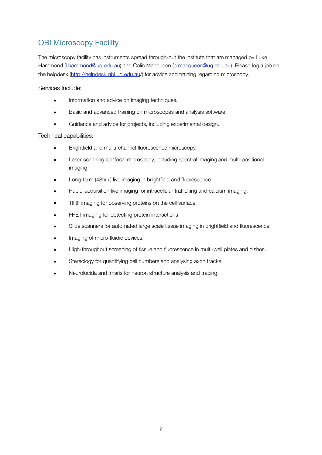## <span id="page-4-0"></span>QBI Microscopy Facility

The microscopy facility has instruments spread through-out the institute that are managed by Luke Hammond ([l.hammond@uq.edu.au\)](mailto:l.hammond@uq.edu.au) and Colin Macqueen [\(c.macqueen@uq.edu.au](mailto:c.macqueen@uq.edu.au)). Please log a job on the helpdesk [\(http://helpdesk.qbi.uq.edu.au](http://helpdesk.qbi.uq.edu.au)/) for advice and training regarding microscopy.

Services Include:

- Information and advice on imaging techniques.
- Basic and advanced training on microscopes and analysis software.
- Guidance and advice for projects, including experimental design.

Technical capabilities:

- Brightfield and mullti-channel fluorescence microscopy.
- Laser scanning confocal microscopy, including spectral imaging and multi-positional imaging.
- Long-term (48hr+) live imaging in brightfield and fluorescence.
- Rapid-acquisition live imaging for intracellular trafficking and calcium imaging.
- TIRF imaging for observing proteins on the cell surface.
- FRET imaging for detecting protein interactions.
- Slide scanners for automated large scale tissue imaging in brightfield and fluorescence.
- Imaging of micro-fluidic devices.
- High-throughput screening of tissue and fluorescence in multi-well plates and dishes.
- Stereology for quantifying cell numbers and analysing axon tracks.
- Neurolucida and Imaris for neuron structure analysis and tracing.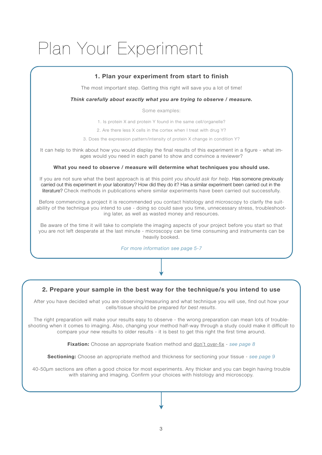# <span id="page-5-0"></span>Plan Your Experiment

### **1. Plan your experiment from start to finish**

The most important step. Getting this right will save you a lot of time!

#### *Think carefully about exactly what you are trying to observe / measure.*

Some examples:

1. Is protein X and protein Y found in the same cell/organelle?

2. Are there less X cells in the cortex when I treat with drug Y?

3. Does the expression pattern/intensity of protein X change in condition Y?

It can help to think about how you would display the final results of this experiment in a figure - what images would you need in each panel to show and convince a reviewer?

#### **What you need to observe / measure will determine what techniques you should use.**

If you are not sure what the best approach is at this point *you should ask for help*. Has someone previously carried out this experiment in your laboratory? How did they do it? Has a similar experiment been carried out in the literature? Check methods in publications where similar experiments have been carried out successfully.

Before commencing a project it is recommended you contact histology and microscopy to clarify the suitability of the technique you intend to use - doing so could save you time, unnecessary stress, troubleshooting later, as well as wasted money and resources.

Be aware of the time it will take to complete the imaging aspects of your project before you start so that you are not left desperate at the last minute - microscopy can be time consuming and instruments can be heavily booked.

*For more information see page 5-7*

### **2. Prepare your sample in the best way for the technique/s you intend to use**

After you have decided what you are observing/measuring and what technique you will use, find out how your cells/tissue should be prepared *for best results*.

The right preparation will make your results easy to observe - the wrong preparation can mean lots of troubleshooting when it comes to imaging. Also, changing your method half-way through a study could make it difficult to compare your new results to older results - it is best to get this right the first time around.

**Fixation:** Choose an appropriate fixation method and don't over-fix - *see page 8*

**Sectioning:** Choose an appropriate method and thickness for sectioning your tissue - *see page 9*

40-50µm sections are often a good choice for most experiments. Any thicker and you can begin having trouble with staining and imaging. Confirm your choices with histology and microscopy.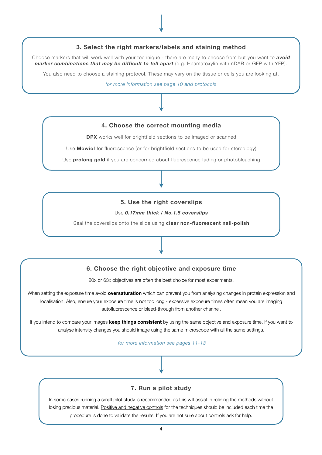### **3. Select the right markers/labels and staining method**

Choose markers that will work well with your technique - there are many to choose from but you want to *avoid marker combinations that may be difficult to tell apart* (e.g. Heamatoxylin with nDAB or GFP with YFP).

You also need to choose a staining protocol. These may vary on the tissue or cells you are looking at.

*for more information see page 10 and protocols*

#### **4. Choose the correct mounting media**

**DPX** works well for brightfield sections to be imaged or scanned

Use **Mowiol** for fluorescence (or for brightfield sections to be used for stereology)

Use **prolong gold** if you are concerned about fluorescence fading or photobleaching

#### **5. Use the right coverslips**

Use *0.17mm thick / No.1.5 coverslips*

Seal the coverslips onto the slide using **clear non-fluorescent nail-polish**

#### **6. Choose the right objective and exposure time**

20x or 63x objectives are often the best choice for most experiments.

When setting the exposure time avoid **oversaturation** which can prevent you from analysing changes in protein expression and localisation. Also, ensure your exposure time is not too long - excessive exposure times often mean you are imaging autofluorescence or bleed-through from another channel.

If you intend to compare your images **keep things consistent** by using the same objective and exposure time. If you want to analyse intensity changes you should image using the same microscope with all the same settings.

*for more information see pages 11-13*

#### **7. Run a pilot study**

In some cases running a small pilot study is recommended as this will assist in refining the methods without losing precious material. Positive and negative controls for the techniques should be included each time the procedure is done to validate the results. If you are not sure about controls ask for help.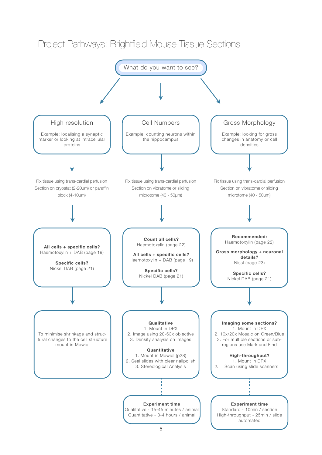<span id="page-7-0"></span>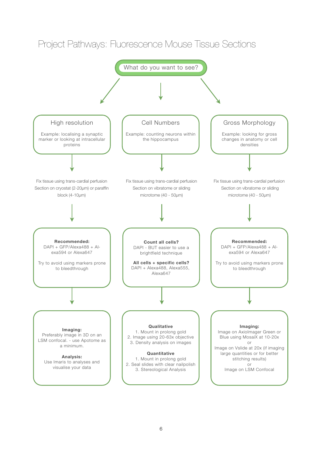

# <span id="page-8-0"></span>Project Pathways: Fluorescence Mouse Tissue Sections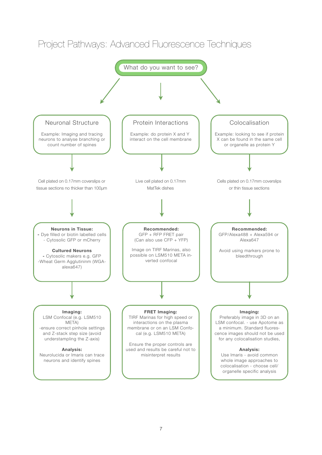

# <span id="page-9-0"></span>Project Pathways: Advanced Fluorescence Techniques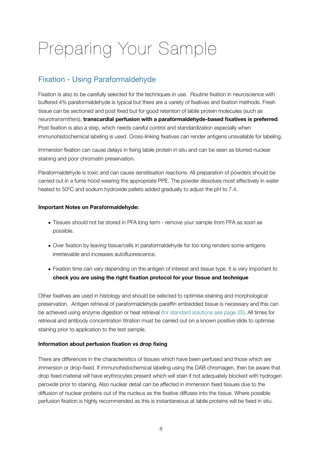# <span id="page-10-0"></span>Preparing Your Sample

## <span id="page-10-1"></span>Fixation - Using Paraformaldehyde

Fixation is also to be carefully selected for the techniques in use. Routine fixation in neuroscience with buffered 4% paraformaldehyde is typical but there are a variety of fixatives and fixation methods. Fresh tissue can be sectioned and post fixed but for good retention of labile protein molecules (such as neurotransmitters), **transcardial perfusion with a paraformaldehyde-based fixatives is preferred**. Post fixation is also a step, which needs careful control and standardization especially when immunohistochemical labeling is used. Cross-linking fixatives can render antigens unavailable for labeling.

Immersion fixation can cause delays in fixing labile protein in situ and can be seen as blurred nuclear staining and poor chromatin preservation.

Paraformaldehyde is toxic and can cause sensitisation reactions. All preparation of powders should be carried out in a fume hood wearing the appropriate PPE. The powder dissolves most effectively in water heated to 50<sup>o</sup>C and sodium hydroxide pellets added gradually to adjust the pH to 7.4.

#### **Important Notes on Paraformaldehyde:**

- Tissues should not be stored in PFA long term remove your sample from PFA as soon as possible.
- Over fixation by leaving tissue/cells in paraformaldehyde for too long renders some antigens irretrievable and increases autofluorescence.
- Fixation time can vary depending on the antigen of interest and tissue type. It is very important to **check you are using the right fixation protocol for your tissue and technique**

Other fixatives are used in histology and should be selected to optimise staining and morphological preservation. Antigen retrieval of paraformaldehyde paraffin embedded tissue is necessary and this can be achieved using enzyme digestion or heat retrieval (for standard solutions see page 25). All times for retrieval and antibody concentration titration must be carried out on a known positive slide to optimise staining prior to application to the test sample.

### **Information about perfusion fixation vs drop fixing**

There are differences in the characteristics of tissues which have been perfused and those which are immersion or drop-fixed. If immunohistochemical labeling using the DAB chromagen, then be aware that drop fixed material will have erythrocytes present which will stain if not adequately blocked with hydrogen peroxide prior to staining. Also nuclear detail can be affected in immersion fixed tissues due to the diffusion of nuclear proteins out of the nucleus as the fixative diffuses into the tissue. Where possible perfusion fixation is highly recommended as this is instantaneous at labile proteins will be fixed in situ.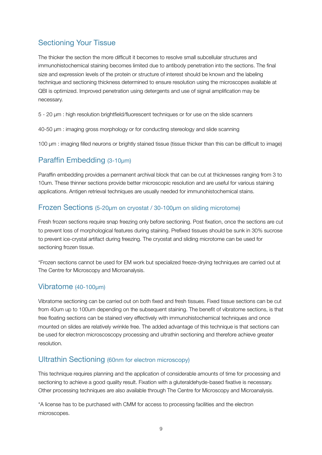## <span id="page-11-0"></span>Sectioning Your Tissue

The thicker the section the more difficult it becomes to resolve small subcellular structures and immunohistochemical staining becomes limited due to antibody penetration into the sections. The final size and expression levels of the protein or structure of interest should be known and the labeling technique and sectioning thickness determined to ensure resolution using the microscopes available at QBI is optimized. Improved penetration using detergents and use of signal amplification may be necessary.

5 - 20 µm : high resolution brightfield/fluorescent techniques or for use on the slide scanners

40-50 µm : imaging gross morphology or for conducting stereology and slide scanning

100 µm : imaging filled neurons or brightly stained tissue (tissue thicker than this can be difficult to image)

## <span id="page-11-1"></span>Paraffin Embedding (3-10µm)

Paraffin embedding provides a permanent archival block that can be cut at thicknesses ranging from 3 to 10um. These thinner sections provide better microscopic resolution and are useful for various staining applications. Antigen retrieval techniques are usually needed for immunohistochemical stains.

## <span id="page-11-2"></span>Frozen Sections (5-20µm on cryostat / 30-100µm on sliding microtome)

Fresh frozen sections require snap freezing only before sectioning. Post fixation, once the sections are cut to prevent loss of morphological features during staining. Prefixed tissues should be sunk in 30% sucrose to prevent ice-crystal artifact during freezing. The cryostat and sliding microtome can be used for sectioning frozen tissue.

\*Frozen sections cannot be used for EM work but specialized freeze-drying techniques are carried out at The Centre for Microscopy and Microanalysis.

## <span id="page-11-3"></span>Vibratome (40-100µm)

Vibratome sectioning can be carried out on both fixed and fresh tissues. Fixed tissue sections can be cut from 40um up to 100um depending on the subsequent staining. The benefit of vibratome sections, is that free floating sections can be stained very effectively with immunohistochemical techniques and once mounted on slides are relatively wrinkle free. The added advantage of this technique is that sections can be used for electron microscoscopy processing and ultrathin sectioning and therefore achieve greater resolution.

## <span id="page-11-4"></span>Ultrathin Sectioning (60nm for electron microscopy)

This technique requires planning and the application of considerable amounts of time for processing and sectioning to achieve a good quality result. Fixation with a gluteraldehyde-based fixative is necessary. Other processing techniques are also available through The Centre for Microscopy and Microanalysis.

\*A license has to be purchased with CMM for access to processing facilities and the electron microscopes.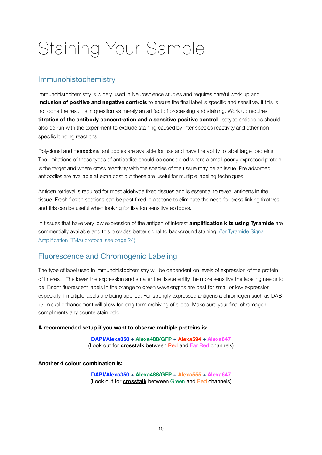# <span id="page-12-0"></span>Staining Your Sample

## <span id="page-12-1"></span>Immunohistochemistry

Immunohistochemistry is widely used in Neuroscience studies and requires careful work up and **inclusion of positive and negative controls** to ensure the final label is specific and sensitive. If this is not done the result is in question as merely an artifact of processing and staining. Work up requires **titration of the antibody concentration and a sensitive positive control**. Isotype antibodies should also be run with the experiment to exclude staining caused by inter species reactivity and other nonspecific binding reactions.

Polyclonal and monoclonal antibodies are available for use and have the ability to label target proteins. The limitations of these types of antibodies should be considered where a small poorly expressed protein is the target and where cross reactivity with the species of the tissue may be an issue. Pre adsorbed antibodies are available at extra cost but these are useful for multiple labeling techniques.

Antigen retrieval is required for most aldehyde fixed tissues and is essential to reveal antigens in the tissue. Fresh frozen sections can be post fixed in acetone to eliminate the need for cross linking fixatives and this can be useful when looking for fixation sensitive epitopes.

In tissues that have very low expression of the antigen of interest **amplification kits using Tyramide** are commercially available and this provides better signal to background staining. (for Tyramide Signal Amplification (TMA) protocal see page 24)

## <span id="page-12-2"></span>Fluorescence and Chromogenic Labeling

The type of label used in immunohistochemistry will be dependent on levels of expression of the protein of interest. The lower the expression and smaller the tissue entity the more sensitive the labeling needs to be. Bright fluorescent labels in the orange to green wavelengths are best for small or low expression especially if multiple labels are being applied. For strongly expressed antigens a chromogen such as DAB +/- nickel enhancement will allow for long term archiving of slides. Make sure your final chromagen compliments any counterstain color.

### **A recommended setup if you want to observe multiple proteins is:**

**DAPI/Alexa350 + Alexa488/GFP + Alexa594 + Alexa647** (Look out for **crosstalk** between Red and Far Red channels)

**Another 4 colour combination is:**

**DAPI/Alexa350 + Alexa488/GFP + Alexa555 + Alexa647** (Look out for **crosstalk** between Green and Red channels)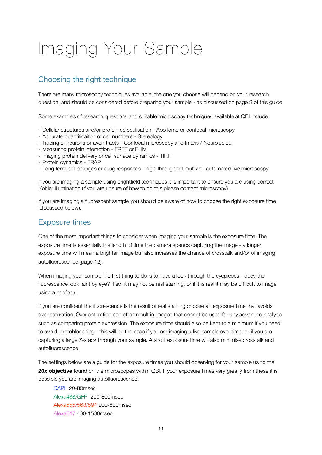# <span id="page-13-0"></span>Imaging Your Sample

## <span id="page-13-1"></span>Choosing the right technique

There are many microscopy techniques available, the one you choose will depend on your research question, and should be considered before preparing your sample - as discussed on page 3 of this guide.

Some examples of research questions and suitable microscopy techniques available at QBI include:

- Cellular structures and/or protein colocalisation ApoTome or confocal microscopy
- Accurate quantificaiton of cell numbers Stereology
- Tracing of neurons or axon tracts Confocal microscopy and Imaris / Neurolucida
- Measuring protein interaction FRET or FLIM
- Imaging protein delivery or cell surface dynamics TIRF
- Protein dynamics FRAP
- Long term cell changes or drug responses high-throughput multiwell automated live microscopy

If you are imaging a sample using brightfield techniques it is important to ensure you are using correct Kohler illumination (if you are unsure of how to do this please contact microscopy).

If you are imaging a fluorescent sample you should be aware of how to choose the right exposure time (discussed below).

## <span id="page-13-2"></span>Exposure times

One of the most important things to consider when imaging your sample is the exposure time. The exposure time is essentially the length of time the camera spends capturing the image - a longer exposure time will mean a brighter image but also increases the chance of crosstalk and/or of imaging autofluorescence (page 12).

When imaging your sample the first thing to do is to have a look through the eyepieces - does the fluorescence look faint by eye? If so, it may not be real staining, or if it is real it may be difficult to image using a confocal.

If you are confident the fluorescence is the result of real staining choose an exposure time that avoids over saturation. Over saturation can often result in images that cannot be used for any advanced analysis such as comparing protein expression. The exposure time should also be kept to a minimum if you need to avoid photobleaching - this will be the case if you are imaging a live sample over time, or if you are capturing a large Z-stack through your sample. A short exposure time will also minimise crosstalk and autofluorescence.

The settings below are a guide for the exposure times you should observing for your sample using the **20x objective** found on the microscopes within QBI. If your exposure times vary greatly from these it is possible you are imaging autofluorescence.

DAPI 20-80msec Alexa488/GFP 200-800msec Alexa555/568/594 200-800msec Alexa647 400-1500msec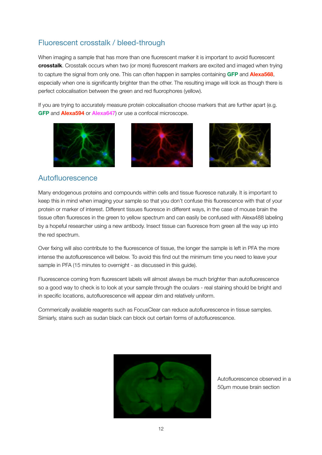## <span id="page-14-0"></span>Fluorescent crosstalk / bleed-through

When imaging a sample that has more than one fluorescent marker it is important to avoid fluorescent **crosstalk**. Crosstalk occurs when two (or more) fluorescent markers are excited and imaged when trying to capture the signal from only one. This can often happen in samples containing **GFP** and **Alexa568**, especially when one is significantly brighter than the other. The resulting image will look as though there is perfect colocalisation between the green and red fluorophores (yellow).

If you are trying to accurately measure protein colocalisation choose markers that are further apart (e.g. **GFP** and **Alexa594** or **Alexa647**) or use a confocal microscope.







## <span id="page-14-1"></span>Autofluorescence

Many endogenous proteins and compounds within cells and tissue fluoresce naturally. It is important to keep this in mind when imaging your sample so that you don't confuse this fluorescence with that of your protein or marker of interest. Different tissues fluoresce in different ways, in the case of mouse brain the tissue often fluoresces in the green to yellow spectrum and can easily be confused with Alexa488 labeling by a hopeful researcher using a new antibody. Insect tissue can fluoresce from green all the way up into the red spectrum.

Over fixing will also contribute to the fluorescence of tissue, the longer the sample is left in PFA the more intense the autofluorescence will below. To avoid this find out the minimum time you need to leave your sample in PFA (15 minutes to overnight - as discussed in this guide).

Fluorescence coming from fluorescent labels will almost always be much brighter than autofluorescence so a good way to check is to look at your sample through the oculars - real staining should be bright and in specific locations, autofluorescence will appear dim and relatively uniform.

Commerically available reagents such as FocusClear can reduce autofluorescence in tissue samples. Simiarly, stains such as sudan black can block out certain forms of autofluorescence.



Autofluorescence observed in a 50µm mouse brain section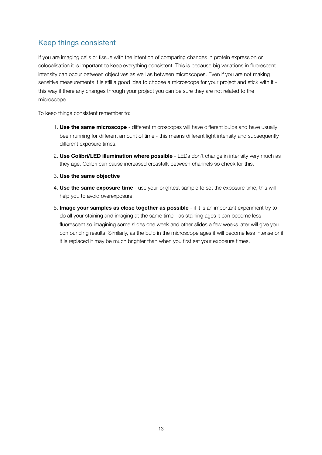## <span id="page-15-0"></span>Keep things consistent

If you are imaging cells or tissue with the intention of comparing changes in protein expression or colocalisation it is important to keep everything consistent. This is because big variations in fluorescent intensity can occur between objectives as well as between microscopes. Even if you are not making sensitive measurements it is still a good idea to choose a microscope for your project and stick with it this way if there any changes through your project you can be sure they are not related to the microscope.

To keep things consistent remember to:

- 1. **Use the same microscope** different microscopes will have different bulbs and have usually been running for different amount of time - this means different light intensity and subsequently different exposure times.
- 2. **Use Colibri/LED illumination where possible** LEDs don't change in intensity very much as they age. Colibri can cause increased crosstalk between channels so check for this.
- 3. **Use the same objective**
- 4. **Use the same exposure time**  use your brightest sample to set the exposure time, this will help you to avoid overexposure.
- 5. **Image your samples as close together as possible** if it is an important experiment try to do all your staining and imaging at the same time - as staining ages it can become less fluorescent so imagining some slides one week and other slides a few weeks later will give you confounding results. Similarly, as the bulb in the microscope ages it will become less intense or if it is replaced it may be much brighter than when you first set your exposure times.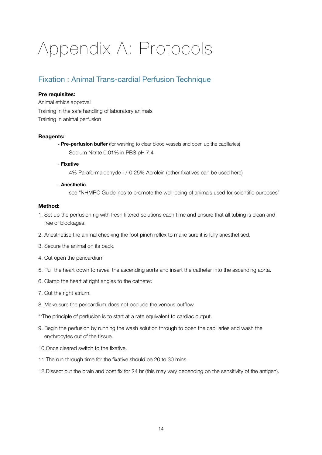# <span id="page-16-0"></span>Appendix A: Protocols

## <span id="page-16-1"></span>Fixation : Animal Trans-cardial Perfusion Technique

#### **Pre requisites:**

Animal ethics approval Training in the safe handling of laboratory animals Training in animal perfusion

#### **Reagents:**

- **Pre-perfusion buffer** (for washing to clear blood vessels and open up the capillaries) Sodium Nitrite 0.01% in PBS pH 7.4

#### - **Fixative**

 4% Paraformaldehyde +/-0.25% Acrolein (other fixatives can be used here)

#### - **Anesthetic**

see "NHMRC Guidelines to promote the well-being of animals used for scientific purposes"

#### **Method:**

- 1. Set up the perfusion rig with fresh filtered solutions each time and ensure that all tubing is clean and free of blockages.
- 2. Anesthetise the animal checking the foot pinch reflex to make sure it is fully anesthetised.
- 3. Secure the animal on its back.
- 4. Cut open the pericardium
- 5. Pull the heart down to reveal the ascending aorta and insert the catheter into the ascending aorta.
- 6. Clamp the heart at right angles to the catheter.
- 7. Cut the right atrium.
- 8. Make sure the pericardium does not occlude the venous outflow.
- \*\*The principle of perfusion is to start at a rate equivalent to cardiac output.
- 9. Begin the perfusion by running the wash solution through to open the capillaries and wash the erythrocytes out of the tissue.
- 10.Once cleared switch to the fixative.
- 11.The run through time for the fixative should be 20 to 30 mins.
- 12.Dissect out the brain and post fix for 24 hr (this may vary depending on the sensitivity of the antigen).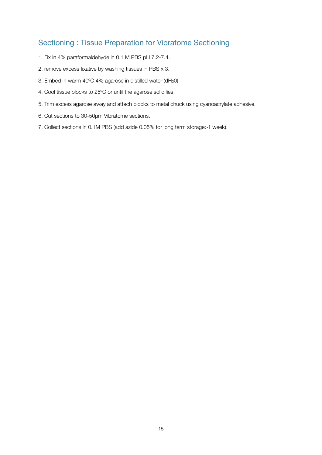## <span id="page-17-0"></span>Sectioning : Tissue Preparation for Vibratome Sectioning

- 1. Fix in 4% paraformaldehyde in 0.1 M PBS pH 7.2-7.4.
- 2. remove excess fixative by washing tissues in PBS x 3.
- 3. Embed in warm 40ºC 4% agarose in distilled water (dH20).
- 4. Cool tissue blocks to 25ºC or until the agarose solidifies.
- 5. Trim excess agarose away and attach blocks to metal chuck using cyanoacrylate adhesive.
- 6. Cut sections to 30-50µm Vibratome sections.
- 7. Collect sections in 0.1M PBS (add azide 0.05% for long term storage>1 week).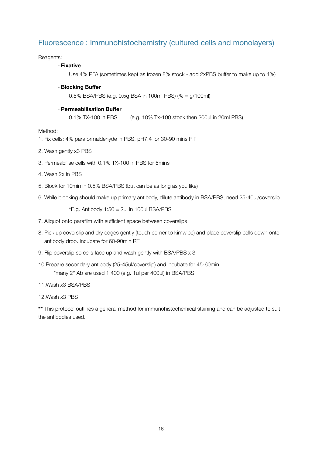## <span id="page-18-0"></span>Fluorescence : Immunohistochemistry (cultured cells and monolayers)

Reagents:

#### - **Fixative**

 Use 4% PFA (sometimes kept as frozen 8% stock - add 2xPBS buffer to make up to 4%)

- **Blocking Buffer**

 0.5% BSA/PBS (e.g. 0.5g BSA in 100ml PBS) (% = g/100ml)

#### - **Permeabilisation Buffer**

0.1% TX-100 in PBS (e.g. 10% Tx-100 stock then 200µl in 20ml PBS)

Method:

- 1. Fix cells: 4% paraformaldehyde in PBS, pH7.4 for 30-90 mins RT
- 2. Wash gently x3 PBS
- 3. Permeabilise cells with 0.1% TX-100 in PBS for 5mins
- 4. Wash 2x in PBS
- 5. Block for 10min in 0.5% BSA/PBS (but can be as long as you like)
- 6. While blocking should make up primary antibody, dilute antibody in BSA/PBS, need 25-40ul/coverslip

 $E.g.$  Antibody 1:50 = 2ul in 100ul BSA/PBS

- 7. Aliquot onto parafilm with sufficient space between coverslips
- 8. Pick up coverslip and dry edges gently (touch corner to kimwipe) and place coverslip cells down onto antibody drop. Incubate for 60-90min RT
- 9. Flip coverslip so cells face up and wash gently with BSA/PBS x 3
- 10.Prepare secondary antibody (25-45ul/coverslip) and incubate for 45-60min \*many 2° Ab are used 1:400 (e.g. 1ul per 400ul) in BSA/PBS
- 11.Wash x3 BSA/PBS
- 12.Wash x3 PBS

**\*\*** This protocol outlines a general method for immunohistochemical staining and can be adjusted to suit the antibodies used.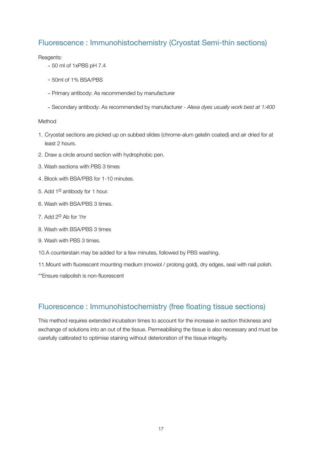## <span id="page-19-0"></span>Fluorescence : Immunohistochemistry (Cryostat Semi-thin sections)

#### Reagents:

- 50 ml of 1xPBS pH 7.4
- 50ml of 1% BSA/PBS
- Primary antibody: As recommended by manufacturer
- Secondary antibody: As recommended by manufacturer *Alexa dyes usually work best at 1:400*

### Method

- 1. Cryostat sections are picked up on subbed slides (chrome-alum gelatin coated) and air dried for at least 2 hours.
- 2. Draw a circle around section with hydrophobic pen.
- 3. Wash sections with PBS 3 times
- 4. Block with BSA/PBS for 1-10 minutes.
- 5. Add 1<sup>o</sup> antibody for 1 hour.
- 6. Wash with BSA/PBS 3 times.
- 7. Add 2o Ab for 1hr
- 8. Wash with BSA/PBS 3 times
- 9. Wash with PBS 3 times.
- 10.A counterstain may be added for a few minutes, followed by PBS washing.
- 11.Mount with fluorescent mounting medium (mowiol / prolong gold), dry edges, seal with nail polish.
- \*\*Ensure nailpolish is non-fluorescent

## <span id="page-19-1"></span>Fluorescence : Immunohistochemistry (free floating tissue sections)

This method requires extended incubation times to account for the increase in section thickness and exchange of solutions into an out of the tissue. Permeabilising the tissue is also necessary and must be carefully calibrated to optimise staining without deterioration of the tissue integrity.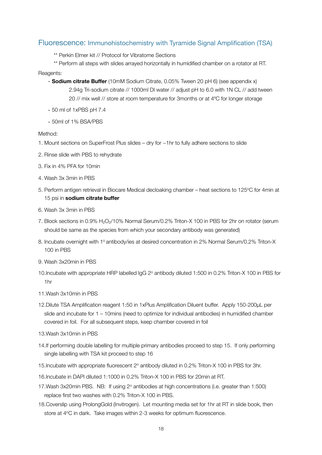## <span id="page-20-0"></span>Fluorescence: Immunohistochemistry with Tyramide Signal Amplification (TSA)

\*\* Perkin Elmer kit // Protocol for Vibratome Sections

\*\* Perform all steps with slides arrayed horizontally in humidified chamber on a rotator at RT.

#### Reagents:

- **Sodium citrate Buffer** (10mM Sodium Citrate, 0.05% Tween 20 pH 6) (see appendix x) 2.94g Tri-sodium citrate // 1000ml DI water // adjust pH to 6.0 with 1N CL // add tween 20 // mix well // store at room temperature for 3months or at 4ºC for longer storage
- 50 ml of 1xPBS pH 7.4
- 50ml of 1% BSA/PBS

#### Method:

- 1. Mount sections on SuperFrost Plus slides dry for ~1hr to fully adhere sections to slide
- 2. Rinse slide with PBS to rehydrate
- 3. Fix in 4% PFA for 10min
- 4. Wash 3x 3min in PBS
- 5. Perform antigen retrieval in Biocare Medical decloaking chamber heat sections to 125°C for 4min at 15 psi in **sodium citrate buffer**
- 6. Wash 3x 3min in PBS
- 7. Block sections in 0.9% H<sub>2</sub>O<sub>2</sub>/10% Normal Serum/0.2% Triton-X 100 in PBS for 2hr on rotator (serum should be same as the species from which your secondary antibody was generated)
- 8. Incubate overnight with 1<sup>o</sup> antibody/ies at desired concentration in 2% Normal Serum/0.2% Triton-X 100 in PBS
- 9. Wash 3x20min in PBS
- 10.Incubate with appropriate HRP labelled IgG 2° antibody diluted 1:500 in 0.2% Triton-X 100 in PBS for 1hr
- 11.Wash 3x10min in PBS
- 12.Dilute TSA Amplification reagent 1:50 in 1xPlus Amplification Diluent buffer. Apply 150-200µL per slide and incubate for 1 – 10mins (need to optimize for individual antibodies) in humidified chamber covered in foil. For all subsequent steps, keep chamber covered in foil
- 13.Wash 3x10min in PBS
- 14.If performing double labelling for multiple primary antibodies proceed to step 15. If only performing single labelling with TSA kit proceed to step 16
- 15. Incubate with appropriate fluorescent 2<sup>o</sup> antibody diluted in 0.2% Triton-X 100 in PBS for 3hr.
- 16.Incubate in DAPI diluted 1:1000 in 0.2% Triton-X 100 in PBS for 20min at RT.
- 17. Wash 3x20min PBS. NB: If using 2° antibodies at high concentrations (i.e. greater than 1:500) replace first two washes with 0.2% Triton-X 100 in PBS.
- 18.Coverslip using ProlongGold (Invitrogen). Let mounting media set for 1hr at RT in slide book, then store at 4°C in dark. Take images within 2-3 weeks for optimum fluorescence.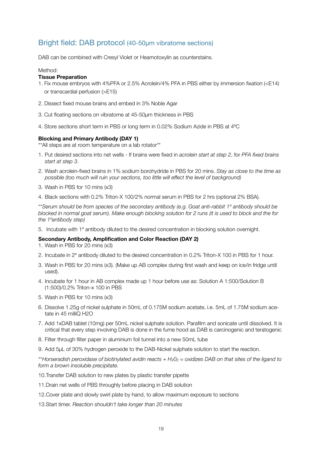## <span id="page-21-0"></span>Bright field: DAB protocol (40-50µm vibratome sections)

DAB can be combined with Cresyl Violet or Heamotoxylin as counterstains.

#### Method:

#### **Tissue Preparation**

- 1. Fix mouse embryos with 4%PFA or 2.5% Acrolein/4% PFA in PBS either by immersion fixation (<E14) or transcardial perfusion (>E15)
- 2. Dissect fixed mouse brains and embed in 3% Noble Agar
- 3. Cut floating sections on vibratome at 45-50µm thickness in PBS
- 4. Store sections short term in PBS or long term in 0.02% Sodium Azide in PBS at 4ºC

#### **Blocking and Primary Antibody (DAY 1)**

\*\*All steps are at room temperature on a lab rotator\*\*

- 1. Put desired sections into net wells If brains were fixed in *acrolein start at step 2*, for *PFA fixed brains start at step 3*.
- 2. Wash acrolein-fixed brains in 1% sodium borohydride in PBS for 20 mins. *Stay as close to the time as possible (too much will ruin your sections, too little will effect the level of background)*
- 3. Wash in PBS for 10 mins (x3)
- 4. Black sections with 0.2% Triton-X 100/2% normal serum in PBS for 2 hrs (optional 2% BSA).

\*\**Serum should be from species of the secondary antibody (e.g. Goat anti-rabbit 1º antibody should be blocked in normal goat serum). Make enough blocking solution for 2 runs (it is used to block and the for the 1ºantibody step)*

5. Incubate with 1º antibody diluted to the desired concentration in blocking solution overnight.

#### **Secondary Antibody, Amplification and Color Reaction (DAY 2)**

- 1. Wash in PBS for 20 mins (x3)
- 2. Incubate in 2º antibody diluted to the desired concentration in 0.2% Triton-X 100 in PBS for 1 hour.
- 3. Wash in PBS for 20 mins (x3). (Make up AB complex during first wash and keep on ice/in fridge until used).
- 4. Incubate for 1 hour in AB complex made up 1 hour before use as: Solution A 1:500/Solution B (1:500)/0.2% Triton-x 100 in PBS
- 5. Wash in PBS for 10 mins (x3)
- 6. Dissolve 1.25g of nickel sulphate in 50mL of 0.175M sodium acetate, i.e. 5mL of 1.75M sodium acetate in 45 milliQ H2O
- 7. Add 1xDAB tablet (10mg) per 50mL nickel sulphate solution. Parafilm and sonicate until dissolved. It is critical that every step involving DAB is done in the fume hood as DAB is carcinogenic and teratogenic
- 8. Filter through filter paper in aluminium foil tunnel into a new 50mL tube
- 9. Add 5µL of 30% hydrogen peroxide to the DAB-Nickel sulphate solution to start the reaction.

\*\**Horseradish peroxidase of biotinylated avidin reacts + H202 = oxidizes DAB on that sites of the ligand to form a brown insoluble precipitate.*

- 10.Transfer DAB solution to new plates by plastic transfer pipette
- 11.Drain net wells of PBS throughly before placing in DAB solution
- 12.Cover plate and slowly swirl plate by hand, to allow maximum exposure to sections
- 13.Start timer. *Reaction shouldn't take longer than 20 minutes*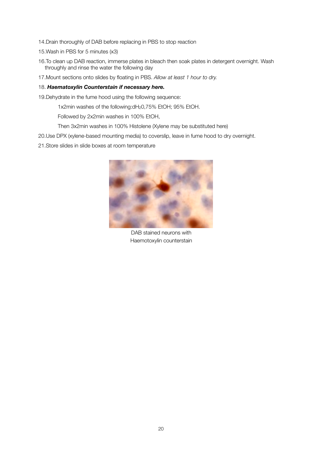- 14.Drain thoroughly of DAB before replacing in PBS to stop reaction
- 15.Wash in PBS for 5 minutes (x3)
- 16.To clean up DAB reaction, immerse plates in bleach then soak plates in detergent overnight. Wash throughly and rinse the water the following day
- 17.Mount sections onto slides by floating in PBS. *Allow at least 1 hour to dry.*

#### 18. *Haematoxylin Counterstain if necessary here.*

- 19.Dehydrate in the fume hood using the following sequence:
	- 1x2min washes of the following:dH20,75% EtOH; 95% EtOH.
	- Followed by 2x2min washes in 100% EtOH,
	- Then 3x2min washes in 100% Histolene (Xylene may be substituted here)
- 20.Use DPX (xylene-based mounting media) to coverslip, leave in fume hood to dry overnight.
- 21.Store slides in slide boxes at room temperature



DAB stained neurons with Haemotoxylin counterstain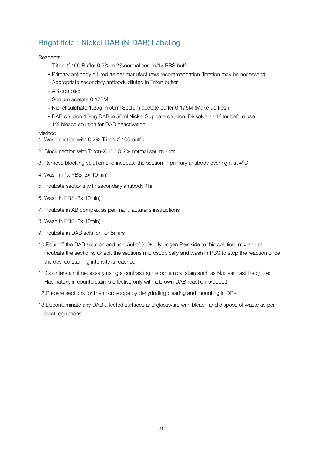## <span id="page-23-0"></span>Bright field : Nickel DAB (N-DAB) Labeling

Reagents:

- Triton-X 100 Buffer 0.2% in 2%normal serum/1x PBS buffer
- Primary antibody diluted as per manufacturers recommendation (titration may be necessary)
- Appropriate secondary antibody diluted in Triton buffer
- AB complex
- Sodium acetate 0.175M.
- Nickel sulphate 1.25g in 50ml Sodium acetate buffer 0.175M (Make up fresh)
- DAB solution 10mg DAB in 50ml Nickel Sulphate solution. Dissolve and filter before use.
- 1% bleach solution for DAB deactivation.

Method:

- 1. Wash section with 0.2% Triton-X 100 buffer
- 2. Block section with Triton-X 100 0.2% normal serum -1hr
- 3. Remove blocking solution and incubate the section in primary antibody overnight at 40C
- 4. Wash in 1x PBS (3x 10min)
- 5. Incubate sections with secondary antibody 1hr
- 6. Wash in PBS (3x 10min)
- 7. Incubate in AB complex as per manufacturer's instructions
- 8. Wash in PBS (3x 10min)
- 9. Incubate in DAB solution for 5mins
- 10.Pour off the DAB solution and add 5ul of 30% Hydrogen Peroxide to this solution, mix and re incubate the sections. Check the sections microscopically and wash in PBS to stop the reaction once the desired staining intensity is reached.
- 11.Counterstain if necessary using a contrasting histochemical stain such as Nuclear Fast Red(note: Haematoxylin counterstain is effective only with a brown DAB reaction product)
- 12.Prepare sections for the microscope by dehydrating clearing and mounting in DPX
- 13.Decontaminate any DAB affected surfaces and glassware with bleach and dispose of waste as per local regulations.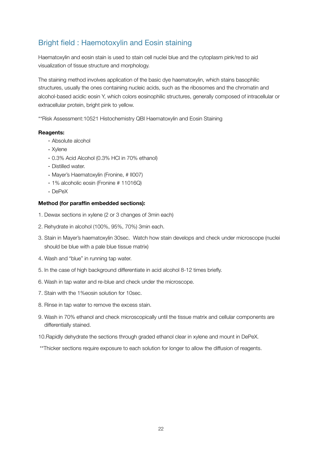## <span id="page-24-0"></span>Bright field : Haemotoxylin and Eosin staining

Haematoxylin and eosin stain is used to stain cell nuclei blue and the cytoplasm pink/red to aid visualization of tissue structure and morphology.

The staining method involves application of the basic dye [haematoxylin,](http://en.wikipedia.org/wiki/Hematoxylin) which stains [basophilic](http://en.wikipedia.org/wiki/Basophilic) structures, usually the ones containing [nucleic acids,](http://en.wikipedia.org/wiki/Nucleic_acid) such as the [ribosomes](http://en.wikipedia.org/wiki/Ribosome) and the [chromatin](http://en.wikipedia.org/wiki/Chromatin) and alcohol-based acidic [eosin Y,](http://en.wikipedia.org/wiki/Eosin_Y) which colors [eosinophilic](http://en.wikipedia.org/wiki/Eosinophilic) structures, generally composed of intracellular or extracellular [protein](http://en.wikipedia.org/wiki/Protein), bright pink to yellow.

\*\*Risk Assessment:10521 Histochemistry QBI Haematoxylin and Eosin Staining

#### **Reagents:**

- Absolute alcohol
- Xylene
- 0.3% Acid Alcohol (0.3% HCl in 70% ethanol)
- Distilled water.
- Mayer's Haematoxylin (Fronine, # II007)
- 1% alcoholic eosin (Fronine # 11016Q)
- DePeX

#### **Method (for paraffin embedded sections):**

- 1. Dewax sections in xylene (2 or 3 changes of 3min each)
- 2. Rehydrate in alcohol (100%, 95%, 70%) 3min each.
- 3. Stain in Mayer's haematoxylin 30sec. Watch how stain develops and check under microscope (nuclei should be blue with a pale blue tissue matrix)
- 4. Wash and "blue" in running tap water.
- 5. In the case of high background differentiate in acid alcohol 8-12 times briefly.
- 6. Wash in tap water and re-blue and check under the microscope.
- 7. Stain with the 1%eosin solution for 10sec.
- 8. Rinse in tap water to remove the excess stain.
- 9. Wash in 70% ethanol and check microscopically until the tissue matrix and cellular components are differentially stained.
- 10.Rapidly dehydrate the sections through graded ethanol clear in xylene and mount in DePeX.
- \*\*Thicker sections require exposure to each solution for longer to allow the diffusion of reagents.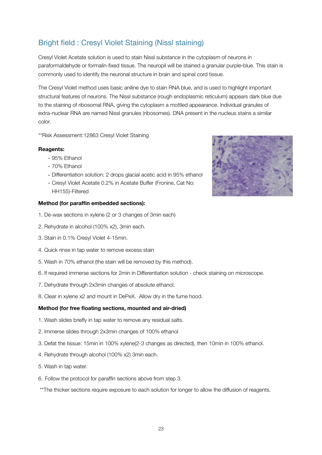# <span id="page-25-0"></span>Bright field : Cresyl Violet Staining (Nissl staining)

Cresyl Violet Acetate solution is used to stain Nissl substance in the cytoplasm of neurons in paraformaldehyde or formalin-fixed tissue. The neuropil will be stained a granular purple-blue. This stain is commonly used to identify the neuronal structure in brain and spinal cord tissue.

The Cresyl Violet method uses basic aniline dye to stain RNA blue, and is used to highlight important structural features of neurons. The Nissl substance (rough endoplasmic reticulum) appears dark blue due to the staining of ribosomal RNA, giving the cytoplasm a mottled appearance. Individual granules of extra-nuclear RNA are named Nissl granules (ribosomes). DNA present in the nucleus stains a similar color.

\*\*Risk Assessment:12863 Cresyl Violet Staining

#### **Reagents:**

- 95% Ethanol
- 70% Ethanol
- Differentiation solution: 2 drops glacial acetic acid in 95% ethanol
- Cresyl Violet Acetate 0.2% in Acetate Buffer (Fronine, Cat No: HH155)-Filtered

#### **Method (for paraffin embedded sections):**

- 1. De-wax sections in xylene (2 or 3 changes of 3min each)
- 2. Rehydrate in alcohol (100% x2), 3min each.
- 3. Stain in 0.1% Cresyl Violet 4-15min.
- 4. Quick rinse in tap water to remove excess stain
- 5. Wash in 70% ethanol (the stain will be removed by this method).
- 6. If required immerse sections for 2min in Differentiation solution check staining on microscope.
- 7. Dehydrate through 2x3min changes of absolute ethanol.
- 8. Clear in xylene x2 and mount in DePeX. Allow dry in the fume hood.

#### **Method (for free floating sections, mounted and air-dried)**

- 1. Wash slides briefly in tap water to remove any residual salts.
- 2. Immerse slides through 2x3min changes of 100% ethanol
- 3. Defat the tissue: 15min in 100% xylene(2-3 changes as directed), then 10min in 100% ethanol.
- 4. Rehydrate through alcohol (100% x2) 3min each.
- 5. Wash in tap water.
- 6. Follow the protocol for paraffin sections above from step 3.
- \*\*The thicker sections require exposure to each solution for longer to allow the diffusion of reagents.

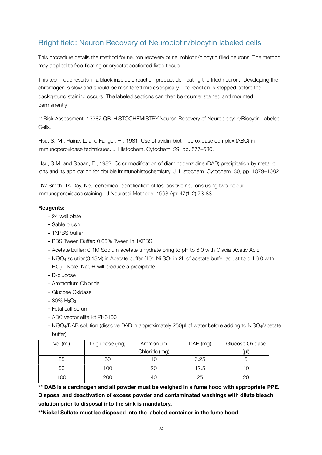## <span id="page-26-0"></span>Bright field: Neuron Recovery of Neurobiotin/biocytin labeled cells

This procedure details the method for neuron recovery of neurobiotin/biocytin filled neurons. The method may applied to free-floating or cryostat sectioned fixed tissue.

This technique results in a black insoluble reaction product delineating the filled neuron. Developing the chromagen is slow and should be monitored microscopically. The reaction is stopped before the background staining occurs. The labeled sections can then be counter stained and mounted permanently.

\*\* Risk Assessment: 13382 QBI HISTOCHEMISTRY:Neuron Recovery of Neurobiocytin/Biocytin Labeled Cells.

Hsu, S.-M., Raine, L. and Fanger, H., 1981. Use of avidin-biotin-peroxidase complex (ABC) in immunoperoxidase techniques. J. Histochem. Cytochem. 29, pp. 577–580.

Hsu, S.M. and Soban, E., 1982. Color modification of diaminobenzidine (DAB) precipitation by metallic ions and its application for double immunohistochemistry. J. Histochem. Cytochem. 30, pp. 1079–1082.

DW Smith, TA Day, Neurochemical identification of fos-positive neurons using two-colour immunoperoxidase staining. J Neurosci Methods. 1993 Apr;47(1-2):73-83

### **Reagents:**

- 24 well plate
- Sable brush
- 1XPBS buffer
- PBS Tween Buffer: 0.05% Tween in 1XPBS
- Acetate buffer: 0.1M Sodium acetate trihydrate bring to pH to 6.0 with Glacial Acetic Acid
- NiSO4 solution(0.13M) in Acetate buffer (40g Ni SO4 in 2L of acetate buffer adjust to pH 6.0 with HCl) - Note: NaOH will produce a precipitate.
- D-glucose
- Ammonium Chloride
- Glucose Oxidase
- $-30\%$  H<sub>2</sub>O<sub>2</sub>
- Fetal calf serum
- ABC vector elite kit PK6100
- NiSO4/DAB solution (dissolve DAB in approximately 250μl of water before adding to NiSO4/acetate buffer)

| Vol (ml) | D-glucose (mg) | Ammonium      | $DAB$ (mg) | Glucose Oxidase |
|----------|----------------|---------------|------------|-----------------|
|          |                | Chloride (mg) |            | (µl)            |
| 25       | 50             |               | 6.25       |                 |
| 50       | 100            | 20            | 12.5       |                 |
| 100      | 200            | 40            | 25         |                 |

**\*\* DAB is a carcinogen and all powder must be weighed in a fume hood with appropriate PPE. Disposal and deactivation of excess powder and contaminated washings with dilute bleach solution prior to disposal into the sink is mandatory.**

**\*\*Nickel Sulfate must be disposed into the labeled container in the fume hood**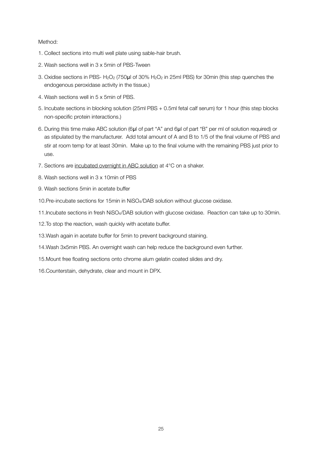#### Method:

- 1. Collect sections into multi well plate using sable-hair brush.
- 2. Wash sections well in 3 x 5min of PBS-Tween
- 3. Oxidise sections in PBS- H<sub>2</sub>O<sub>2</sub> (750µl of 30% H<sub>2</sub>O<sub>2</sub> in 25ml PBS) for 30min (this step quenches the endogenous peroxidase activity in the tissue.)
- 4. Wash sections well in 5 x 5min of PBS.
- 5. Incubate sections in blocking solution (25ml PBS + 0.5ml fetal calf serum) for 1 hour (this step blocks non-specific protein interactions.)
- 6. During this time make ABC solution (6μl of part "A" and 6μl of part "B" per ml of solution required) or as stipulated by the manufacturer. Add total amount of A and B to 1/5 of the final volume of PBS and stir at room temp for at least 30min. Make up to the final volume with the remaining PBS just prior to use.
- 7. Sections are incubated overnight in ABC solution at 4°C on a shaker.
- 8. Wash sections well in 3 x 10min of PBS
- 9. Wash sections 5min in acetate buffer
- 10.Pre-incubate sections for 15min in NiSO4/DAB solution without glucose oxidase.
- 11.Incubate sections in fresh NiSO4/DAB solution with glucose oxidase. Reaction can take up to 30min.
- 12.To stop the reaction, wash quickly with acetate buffer.
- 13.Wash again in acetate buffer for 5min to prevent background staining.
- 14.Wash 3x5min PBS. An overnight wash can help reduce the background even further.
- 15.Mount free floating sections onto chrome alum gelatin coated slides and dry.
- 16.Counterstain, dehydrate, clear and mount in DPX.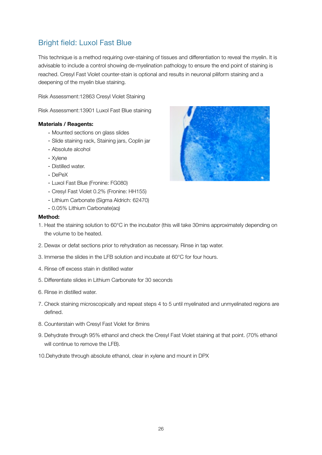## <span id="page-28-0"></span>Bright field: Luxol Fast Blue

This technique is a method requiring over-staining of tissues and differentiation to reveal the myelin. It is advisable to include a control showing de-myelination pathology to ensure the end point of staining is reached. Cresyl Fast Violet counter-stain is optional and results in neuronal piliform staining and a deepening of the myelin blue staining.

Risk Assessment:12863 Cresyl Violet Staining

Risk Assessment:13901 Luxol Fast Blue staining

#### **Materials / Reagents:**

- Mounted sections on glass slides
- Slide staining rack, Staining jars, Coplin jar
- Absolute alcohol
- Xylene
- Distilled water.
- DePeX
- Luxol Fast Blue (Fronine: FG080)
- Cresyl Fast Violet 0.2% (Fronine: HH155)
- Lithium Carbonate (Sigma Aldrich: 62470)
- 0.05% Lithium Carbonate(aq)

#### **Method:**

- 1. Heat the staining solution to 60°C in the incubator (this will take 30mins approximately depending on the volume to be heated.
- 2. Dewax or defat sections prior to rehydration as necessary. Rinse in tap water.
- 3. Immerse the slides in the LFB solution and incubate at 60°C for four hours.
- 4. Rinse off excess stain in distilled water
- 5. Differentiate slides in Lithium Carbonate for 30 seconds
- 6. Rinse in distilled water.
- 7. Check staining microscopically and repeat steps 4 to 5 until myelinated and unmyelinated regions are defined.
- 8. Counterstain with Cresyl Fast Violet for 8mins
- 9. Dehydrate through 95% ethanol and check the Cresyl Fast Violet staining at that point. (70% ethanol will continue to remove the LFB).
- 10.Dehydrate through absolute ethanol, clear in xylene and mount in DPX

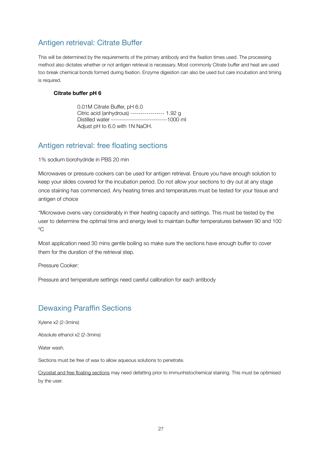## <span id="page-29-0"></span>Antigen retrieval: Citrate Buffer

This will be determined by the requirements of the primary antibody and the fixation times used. The processing method also dictates whether or not antigen retrieval is necessary. Most commonly Citrate buffer and heat are used too break chemical bonds formed during fixation. Enzyme digestion can also be used but care incubation and timing is required.

#### **Citrate buffer pH 6**

 0.01M Citrate Buffer, pH 6.0 Citric acid (anhydrous) ----------------- 1.92 g Distilled water ----------------------------1000 ml Adjust pH to 6.0 with 1N NaOH.

## <span id="page-29-1"></span>Antigen retrieval: free floating sections

1% sodium borohydride in PBS 20 min

Microwaves or pressure cookers can be used for antigen retrieval. Ensure you have enough solution to keep your slides covered for the incubation period. Do not allow your sections to dry out at any stage once staining has commenced. Any heating times and temperatures must be tested for your tissue and antigen of choice

\*Microwave ovens vary considerably in their heating capacity and settings. This must be tested by the user to determine the optimal time and energy level to maintain buffer temperatures between 90 and 100 ºC

Most application need 30 mins gentle boiling so make sure the sections have enough buffer to cover them for the duration of the retrieval step.

Pressure Cooker:

Pressure and temperature settings need careful calibration for each antibody

## <span id="page-29-2"></span>Dewaxing Paraffin Sections

Xylene x2 (2-3mins)

Absolute ethanol x2 (2-3mins)

Water wash

Sections must be free of wax to allow aqueous solutions to penetrate.

Cryostat and free floating sections may need defatting prior to immunhistochemical staining. This must be optimised by the user.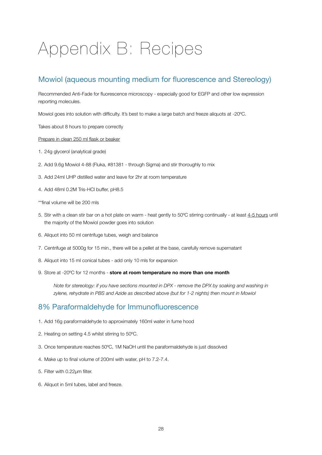# <span id="page-30-0"></span>Appendix B: Recipes

## <span id="page-30-1"></span>Mowiol (aqueous mounting medium for fluorescence and Stereology)

Recommended Anti-Fade for fluorescence microscopy - especially good for EGFP and other low expression reporting molecules.

Mowiol goes into solution with difficulty. It's best to make a large batch and freeze aliquots at -20ºC.

Takes about 8 hours to prepare correctly

#### Prepare in clean 250 ml flask or beaker

- 1. 24g glycerol (analytical grade)
- 2. Add 9.6g Mowiol 4-88 (Fluka, #81381 through Sigma) and stir thoroughly to mix
- 3. Add 24ml UHP distilled water and leave for 2hr at room temperature
- 4. Add 48ml 0.2M Tris-HCl buffer, pH8.5
- \*\*final volume will be 200 mls
- 5. Stir with a clean stir bar on a hot plate on warm heat gently to 50ºC stirring continually at least 4-5 hours until the majority of the Mowiol powder goes into solution
- 6. Aliquot into 50 ml centrifuge tubes, weigh and balance
- 7. Centrifuge at 5000g for 15 min., there will be a pellet at the base, carefully remove supernatant
- 8. Aliquot into 15 ml conical tubes add only 10 mls for expansion
- 9. Store at -20ºC for 12 months **store at room temperature no more than one month**

*Note for stereology: if you have sections mounted in DPX - remove the DPX by soaking and washing in zylene, rehydrate in PBS and Azide as described above (but for 1-2 nights) then mount in Mowiol*

## <span id="page-30-2"></span>8% Paraformaldehyde for Immunofluorescence

- 1. Add 16g paraformaldehyde to approximately 160ml water in fume hood
- 2. Heating on setting 4.5 whilst stirring to 50ºC.
- 3. Once temperature reaches 50ºC, 1M NaOH until the paraformaldehyde is just dissolved
- 4. Make up to final volume of 200ml with water, pH to 7.2-7.4.
- 5. Filter with 0.22µm filter.
- 6. Aliquot in 5ml tubes, label and freeze.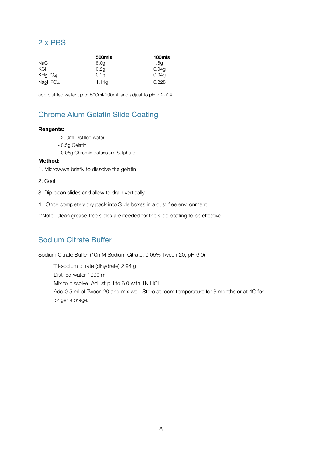## <span id="page-31-0"></span>2 x PBS

|                                  | 500mls | 100mls |
|----------------------------------|--------|--------|
| <b>NaCl</b>                      | 8.0g   | 1.6q   |
| KCI                              | 0.2q   | 0.04q  |
| KH2PO4                           | 0.2q   | 0.04a  |
| Na <sub>2</sub> HPO <sub>4</sub> | 1.14q  | 0.228  |

add distilled water up to 500ml/100ml and adjust to pH 7.2-7.4

## <span id="page-31-1"></span>Chrome Alum Gelatin Slide Coating

### **Reagents:**

- 200ml Distilled water
- 0.5g Gelatin
- 0.05g Chromic potassium Sulphate

#### **Method:**

- 1. Microwave briefly to dissolve the gelatin
- 2. Cool
- 3. Dip clean slides and allow to drain vertically.
- 4. Once completely dry pack into Slide boxes in a dust free environment.
- \*\*Note: Clean grease-free slides are needed for the slide coating to be effective.

## <span id="page-31-2"></span>Sodium Citrate Buffer

Sodium Citrate Buffer (10mM Sodium Citrate, 0.05% Tween 20, pH 6.0)

Tri-sodium citrate (dihydrate) 2.94 g Distilled water 1000 ml Mix to dissolve. Adjust pH to 6.0 with 1N HCl. Add 0.5 ml of Tween 20 and mix well. Store at room temperature for 3 months or at 4C for longer storage.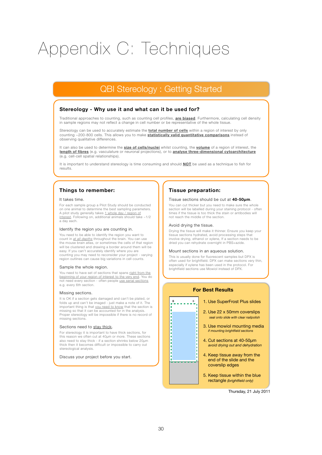# <span id="page-32-0"></span>Appendix C: Techniques

## QBI Stereology : Getting Started

#### **Stereology - Why use it and what can it be used for?**

Traditional approaches to counting, such as counting cell profiles, **are biased**. Furthermore, calculating cell density in sample regions may not reflect a change in cell number or be representative of the whole tissue.

Stereology can be used to accurately estimate the **total number of cells** within a region of interest by only counting ~200-800 cells. This allows you to make **statistically valid quantitative comparisons** instead of observing qualitative differences.

It can also be used to determine the **size of cells/nuclei** whilst counting, the **volume** of a region of interest, the **length of fibres** (e.g. vasculature or neuronal projections), or to **analyse three-dimensional cytoarchitecture** (e.g. cell-cell spatial relationships).

It is important to understand stereology is time consuming and should **NOT** be used as a technique to fish for results.

#### **Things to remember:**

#### It takes time.

For each sample group a Pilot Study should be conducted on one animal to determine the best sampling parameters. A pilot study generally takes <u>1 whole day / region of</u><br>i<u>nterest</u>. Following on, additional animals should take ~1/2 a day each.

#### Identify the region you are counting in.

You need to be able to identify the region you want to count in *at all depths* throughout the brain. You can use the mouse brain atlas, or sometimes the cells of that region will be clustered and drawing a border around them will be easy. If you can't accurately identify where you are counting you may need to reconsider your project - varying region outlines can cause big variations in cell counts.

#### Sample the whole region.

You need to have set of sections that spans right from the beginning of your region of interest to the very end. You do<br>not need every section - often people <u>use serial sections</u> e.g. every 6th section.

#### Missing sections.

It is OK if a section gets damaged and can't be plated, or folds up and can't be imaged - just make a note of it. The important thing is that you need to know that the section is missing so that it can be accounted for in the analysis. Proper stereology will be impossible if there is no record of missing sections.

#### Sections need to stay thick.

For stereology it is important to have thick sections, for this reason we often cut at 40µm or more. These sections also need to stay thick - if a section shrinks below 20µm thick then it becomes difficult or impossible to carry out stereological analysis.

Discuss your project before you start.

#### **Tissue preparation:**

#### Tissue sections should be cut at **40-50µm**.

You can cut thicker but you need to make sure the whole section will be labelled during your staining protocol - often times if the tissue is too thick the stain or antibodies will not reach the middle of the section.

#### Avoid drying the tissue.

 $\mathbf{t}$ 

Drying the tissue will make it thinner. Ensure you keep your tissue sections hydrated, avoid processing steps that involve drying, ethanol or xylene, If a section needs to be dried you can rehydrate overnight in PBS+azide.

#### Mount sections in an aqueous solution.

This is usually done for fluorescent samples but DPX is often used for brightfield. DPX can make sections very thin, especially if xylene has been used in the protocol. For brightfield sections use Mowiol instead of DPX.

# **For Best Results**

÷. 1. Use SuperFrost Plus slides 2. Use 22 x 50mm coverslips *seal onto slide with clear nailpolish* 3. Use mowiol mounting media *if mounting brightfield sections* 4. Cut sections at 40-50µm  *avoid drying out and dehydration* 4. Keep tissue away from the end of the slide and the coverslip edges 5. Keep tissue within the blue rectangle *(brightfield only)*

Thursday, 21 July 2011